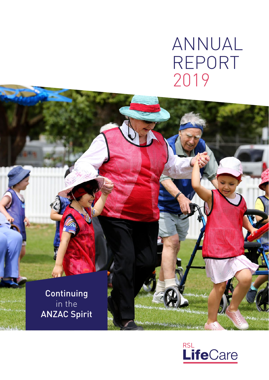# ANNUAL REPORT 2019

**Continuing** in the ANZAC Spirit

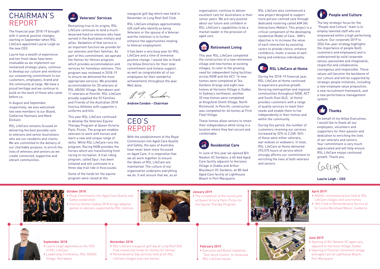### **September 2018**

- Laurie Leigh appointed as the CEO of RSL LifeCare
- Leadership Conference, RSL ANZAC Village, Narrabeen

## **November 2018**

- RSL LifeCare inaugural golf day at Long Reef Golf Club raised vital funds for Homes for Heroes
- Remembrance Day services held at all RSL
- LifeCare villages and care homes

### **October 2018**

- Royal Commission into Aged Care Quality and Safety established
- Invictus Games Sydney 2018 brings adaptive games to veterans supported by RSL LifeCare



### **February 2019**

- Executive and Board roadshow, "Your Voice Counts" to showcase
- RSL LifeCare values



### **January 2019**

• The completion of the round-yard at Queen Victoria Park, Picton for the Equine Therapy Program





## **April 2019**

- ANZAC commemorations held at RSL LifeCare villages and care homes
- 18/4 Field of Remembrance Service at Sir Leslie Morshead Manor, Canberra

## **June 2019**

- Opening of Bill Newton VC aged care, adjacent to Horizons Village, Dubbo
- Opening of Pozieres retirement village and aged care at Lighthouse Beach, Port Macquarie

## CHAIRMAN'S REPORT

The financial year 2018-19 brought with it several positive changes, starting in September when RSL LifeCare appointed Laurie Leigh as the new CEO.

Laurie has a wealth of experience and her fresh ideas have been invaluable as we implement our revitalised strategic plans, continue to develop our culture and reinforce our unwavering commitment to our customers, employees, brand and the community at large. We have a proud heritage and we continue to build on the work of those who came before us.

In August and September respectively, we also welcomed two new members to our Board, Catherine Yeomans and Mark Dickson.

> Some of the funds for the equine program were raised at the

RSL LifeCare remains focused on delivering the best possible care to veterans and senior Australians who are our residents and clients. We are committed to the delivery of our charitable purpose, to enrich the lives of veterans and seniors as we create connected, supportive and vibrant communities.



Remaining true to its origins, RSL LifeCare continues to lend a muchdeserved hand to veterans who have served in the Australian military and allies. Validation of that service is an important function we provide for our veterans and their families. As part of this commitment, we operate the Homes for Heroes program, which provides accommodation and services for homeless veterans. This program was reviewed in 2018-19 to ensure we delivered the most appropriate services. We provided accommodation for 20 veterans at RSL ANZAC Village, Narrabeen and 11 veterans at Penrith. RSL LifeCare proudly supplied the 92 Families and Friends of the Australian 2018 Invictus Athletes with supporter's uniforms and kits.

This year RSL LifeCare continued to develop the Veterans Equine Therapy Program at Queen Victoria Park, Picton. The program enables veterans to work with horses and learn a new and unique range of skills. While RSL LifeCare runs the program, Racing NSW provides the horses which are transitioning from racing to recreation. A trail riding program, called Spur, has been initiated and will culminate in a three-day trail ride in Kosciuszko.

inaugural golf day which was held in November at Long Reef Golf Club.

RSL LifeCare employs approximately 620 staff who identify as being Veterans or the spouse of a Veteran and the intention is to further enhance the opportunities relating to Veteran employment.

It has been a very busy year for RSL LifeCare and a time of immense positive change. I would like to thank my fellow Directors for their total commitment and tireless support, as well as congratulate all of our employees for their wonderful achievements throughout the year. Well done.

19. Condon

**Andrew Condon - Chairman** 

## CEO'S REPORT

With the establishment of the Royal Commission into Aged Care Quality and Safety, the eyes of Australia have never been more focussed on Aged Care. It is imperative that we all work together to ensure the ideals of RSL LifeCare are maintained. The culture of our organisation underpins everything we do. It will ensure that we, as an

organisation, continue to deliver excellent care for Australians in their senior years. We are very positive about our future and confident in RSL LifeCare's capabilities to be a market leader in the provision of aged care.



This year RSL LifeCare completed the construction of a new retirement village and new homes at existing villages, to cater to the growing need for independent living facilities across NSW and the ACT. 16 new homes were completed at Tea Gardens Grange and eight new homes at Horizons Village in Dubbo. In Sydney's northwest, another 33 new homes were completed at Kingsford-Smith Village, North Richmond. In Penrith, construction was completed for 46 homes at First Fleet Village.

These homes allow seniors to retain their independence while living in a location where they feel secure and comfortable.



In June of this year we opened Bill Newton VC Gardens, a 60-bed Aged Care facility adjacent to Horizons Village in Dubbo and Arthur Blackburn VC Gardens, an 80-bed Aged Care facility at Lighthouse Beach in Port Macquarie.

RSL LifeCare also commenced a new project designed to support more person-centred care through dedicated rostering called AIM (All Interactions Matter). This project is a critical component of the developing residential Model of Care. AIM's objective is to increase the value of each interaction by assisting carers to provide choice, enhance confidence, foster a sense of wellbeing and embrace individuality.



## **RSL LifeCare at Home**



During the 2018-19 financial year, RSL LifeCare at Home continued to experience positive growth. Servicing metropolitan and regional communities throughout NSW, ACT and South-East QLD, 'at Home' provides customers with a range of quality services to meet their needs and enable them to live independently in their homes and within the community.

During this period, the number of customers receiving our services increased by 32% to 2,248. 56% of these were either veterans, war widows or widowers. In total, RSL LifeCare at Home delivered 293,575 hours of service which strongly affirms our commitment to enriching the lives of both veterans and seniors.



## **People and Culture**

The key strategic focus for the "People and Culture" team is to employ talented staff who are empowered within a high performing culture. Our corporate 2019 to 2024 five-year strategy highlights the importance of people (both customers and employees) and is underpinned by solid corporate values; passionate and imaginative, respectful and collaborative, courageous and responsible. These values will become the backbone of our culture and will be supported by strategic people initiatives, including a new employee value proposition, a new recruitment framework, and a new performance management system.



On behalf of my fellow Executives, I would like to thank all our employees, volunteers and supporters for their passion and dedication to enriching the lives of our veterans and seniors. Your commitment is very much appreciated and will help ensure RSL LifeCare enjoys continued growth. Thank you.

**Laurie Leigh – CEO**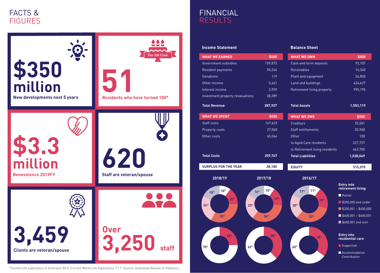## **Income Statement**

## **Balance Sheet**



- 
- 
- 
- 
- 

- 
- 

## FACTS & **FIGURES**

| <b>WHAT WE EARNED</b>                | \$000                              | <b>WHAT WE OWN</b>                 | \$000                                  |
|--------------------------------------|------------------------------------|------------------------------------|----------------------------------------|
| Government subsidies                 | 159,873                            | Cash and term deposits             | 92,107                                 |
| Resident payments                    | 90,246                             | <b>Receivables</b>                 | 14,340                                 |
| <b>Donations</b>                     | 119                                | Plant and equipment                | 26,850                                 |
| Other income                         | 5,461                              | Land and buildings                 | 424,627                                |
| Interest income                      | 3,939                              | Retirement living property         | 995,195                                |
| Investment property revaluations     | 28,289                             |                                    |                                        |
| <b>Total Revenue</b>                 | 287,927                            | <b>Total Assets</b>                | 1,553,119                              |
| <b>WHAT WE SPENT</b>                 | \$000                              | <b>WHAT WE OWE</b>                 | \$000                                  |
| Staff costs                          | 167,623                            | <b>Creditors</b>                   | 25,501                                 |
| Property costs                       | 27,060                             | <b>Staff entitlements</b>          | 20,968                                 |
| Other costs                          | 65,064                             | Other                              | 138                                    |
|                                      |                                    | to Aged Care residents             | 327,737                                |
|                                      |                                    | to Retirement living residents     | 663,705                                |
| <b>Total Costs</b>                   | 259,747                            | <b>Total Liabilities</b>           | 1,038,049                              |
| <b>SURPLUS FOR THE YEAR</b>          | 28,180                             | <b>EQUITY</b>                      | 515,070                                |
| 2018/19                              | 2017/18                            | 2016/17                            |                                        |
| 10 <sup>%</sup><br>18 <sup>%</sup>   | 10 <sup>%</sup><br>16 <sup>%</sup> | 11 <sup>%</sup><br>17 <sup>%</sup> | <b>Entry into</b><br>retirement living |
|                                      | 17 <sup>%</sup>                    |                                    | $\blacksquare$ Rental                  |
| <b>15%</b><br>24%<br>23 <sup>%</sup> |                                    | 19 <sup>%</sup><br>20 <sup>%</sup> | S200,000 and under                     |
|                                      |                                    |                                    | $\blacksquare$ \$200,001 - \$400,000   |
| 33 <sup>%</sup>                      | 34%                                | 33 <sup>%</sup>                    | $\blacksquare$ \$400,001 - \$600,001   |
|                                      |                                    |                                    | \$600,001 and over                     |
| <b>25%</b>                           | 38%                                | <b>35%</b>                         | <b>Entry into</b><br>residential care  |
| 62%<br>75%                           |                                    | 65%                                | Supported                              |
|                                      |                                    |                                    | Accommodation<br>Contribution          |

\*Current life expectancy in Australia: 83.0. Current World Life Expectancy: 71.7. Source: Australian Bureau of Statistics.



## FINANCIAL RESULTS